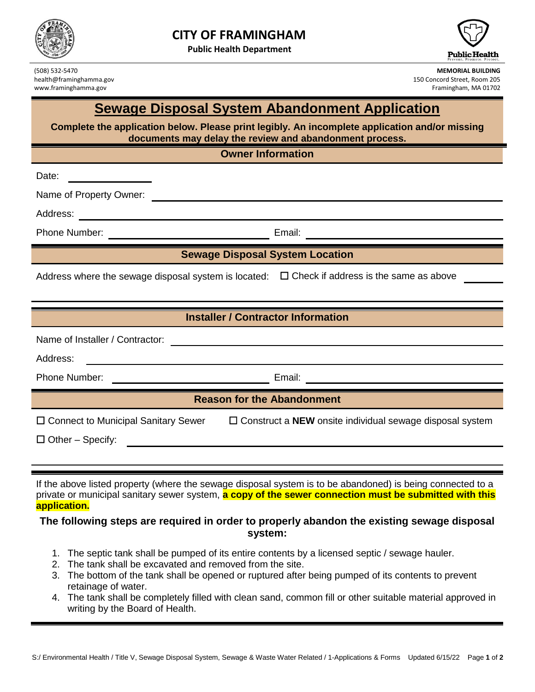

**Public Health Department**



(508) 532-5470 **MEMORIAL BUILDING** health@framinghamma.gov 150 Concord Street, Room 205 www.framinghamma.gov Framingham, MA 01702

# **Sewage Disposal System Abandonment Application**

**Complete the application below. Please print legibly. An incomplete application and/or missing documents may delay the review and abandonment process.**

**Owner Information**

Name of Property Owner:

Address:

Date:

Phone Number: Email: Email:

## **Sewage Disposal System Location**

Address where the sewage disposal system is located:  $\Box$  Check if address is the same as above

|  | <b>Installer / Contractor Information</b> |
|--|-------------------------------------------|
|  |                                           |

| Name of Installer / Contractor: |        |
|---------------------------------|--------|
| Address:                        |        |
| <b>Phone Number:</b>            | Email: |

## **Reason for the Abandonment**

| □ Connect to Municipal Sanitary Sewer | $\Box$ Construct a <b>NEW</b> onsite individual sewage disposal system |
|---------------------------------------|------------------------------------------------------------------------|
| $\Box$ Other – Specify:               |                                                                        |

If the above listed property (where the sewage disposal system is to be abandoned) is being connected to a private or municipal sanitary sewer system, **a copy of the sewer connection must be submitted with this application.**

#### **The following steps are required in order to properly abandon the existing sewage disposal system:**

- 1. The septic tank shall be pumped of its entire contents by a licensed septic / sewage hauler.
- 2. The tank shall be excavated and removed from the site.
- 3. The bottom of the tank shall be opened or ruptured after being pumped of its contents to prevent retainage of water.
- 4. The tank shall be completely filled with clean sand, common fill or other suitable material approved in writing by the Board of Health.